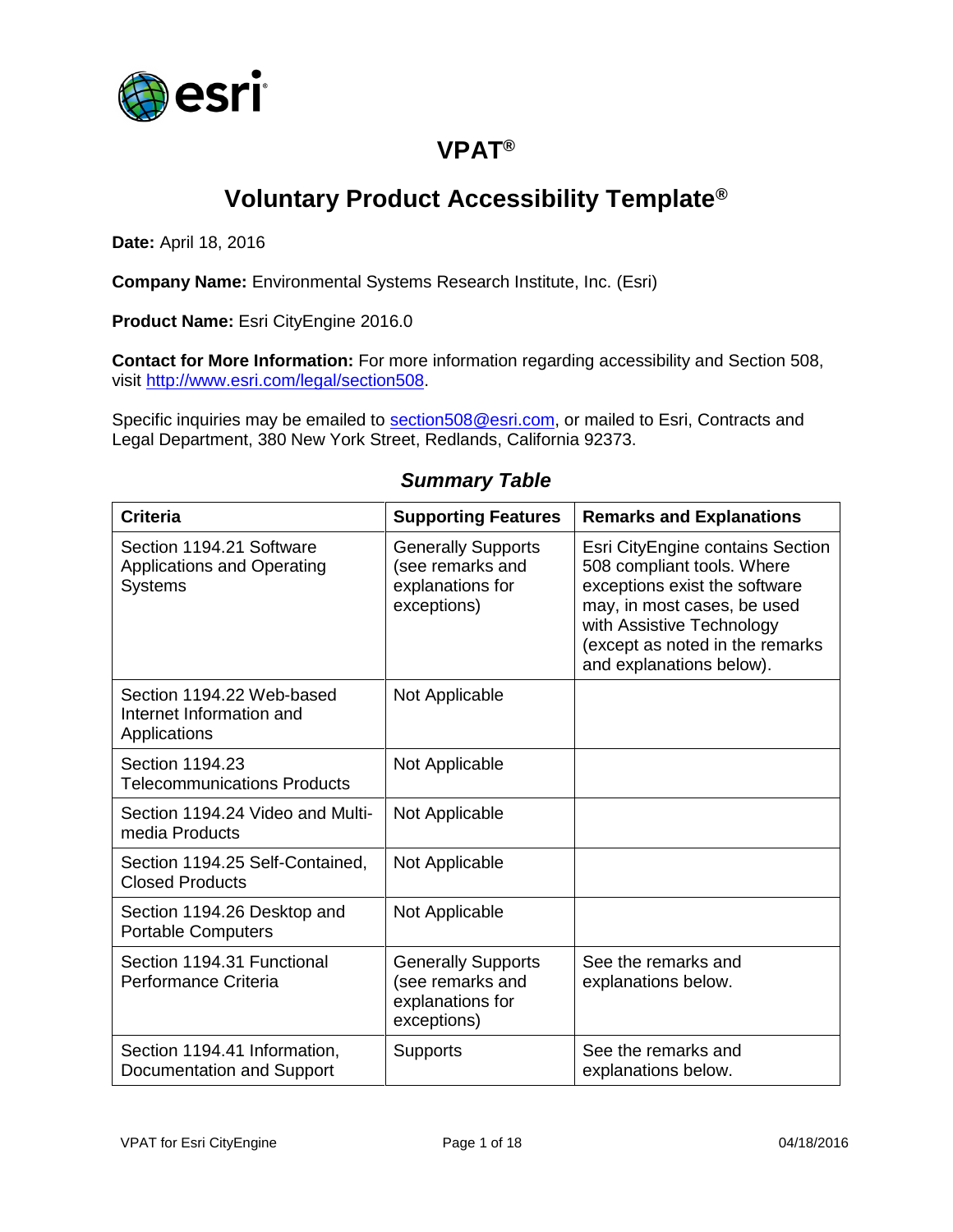

## **VPAT®**

# **Voluntary Product Accessibility Template®**

**Date:** April 18, 2016

**Company Name:** Environmental Systems Research Institute, Inc. (Esri)

**Product Name:** Esri CityEngine 2016.0

**Contact for More Information:** For more information regarding accessibility and Section 508, visit [http://www.esri.com/legal/section508.](http://www.esri.com/legal/section508)

Specific inquiries may be emailed to [section508@esri.com,](mailto:section508@esri.com) or mailed to Esri, Contracts and Legal Department, 380 New York Street, Redlands, California 92373.

| <b>Criteria</b>                                                                 | <b>Supporting Features</b>                                                       | <b>Remarks and Explanations</b>                                                                                                                                                                                            |
|---------------------------------------------------------------------------------|----------------------------------------------------------------------------------|----------------------------------------------------------------------------------------------------------------------------------------------------------------------------------------------------------------------------|
| Section 1194.21 Software<br><b>Applications and Operating</b><br><b>Systems</b> | <b>Generally Supports</b><br>(see remarks and<br>explanations for<br>exceptions) | Esri CityEngine contains Section<br>508 compliant tools. Where<br>exceptions exist the software<br>may, in most cases, be used<br>with Assistive Technology<br>(except as noted in the remarks<br>and explanations below). |
| Section 1194.22 Web-based<br>Internet Information and<br>Applications           | Not Applicable                                                                   |                                                                                                                                                                                                                            |
| Section 1194.23<br><b>Telecommunications Products</b>                           | Not Applicable                                                                   |                                                                                                                                                                                                                            |
| Section 1194.24 Video and Multi-<br>media Products                              | Not Applicable                                                                   |                                                                                                                                                                                                                            |
| Section 1194.25 Self-Contained,<br><b>Closed Products</b>                       | Not Applicable                                                                   |                                                                                                                                                                                                                            |
| Section 1194.26 Desktop and<br><b>Portable Computers</b>                        | Not Applicable                                                                   |                                                                                                                                                                                                                            |
| Section 1194.31 Functional<br>Performance Criteria                              | <b>Generally Supports</b><br>(see remarks and<br>explanations for<br>exceptions) | See the remarks and<br>explanations below.                                                                                                                                                                                 |
| Section 1194.41 Information,<br>Documentation and Support                       | <b>Supports</b>                                                                  | See the remarks and<br>explanations below.                                                                                                                                                                                 |

#### *Summary Table*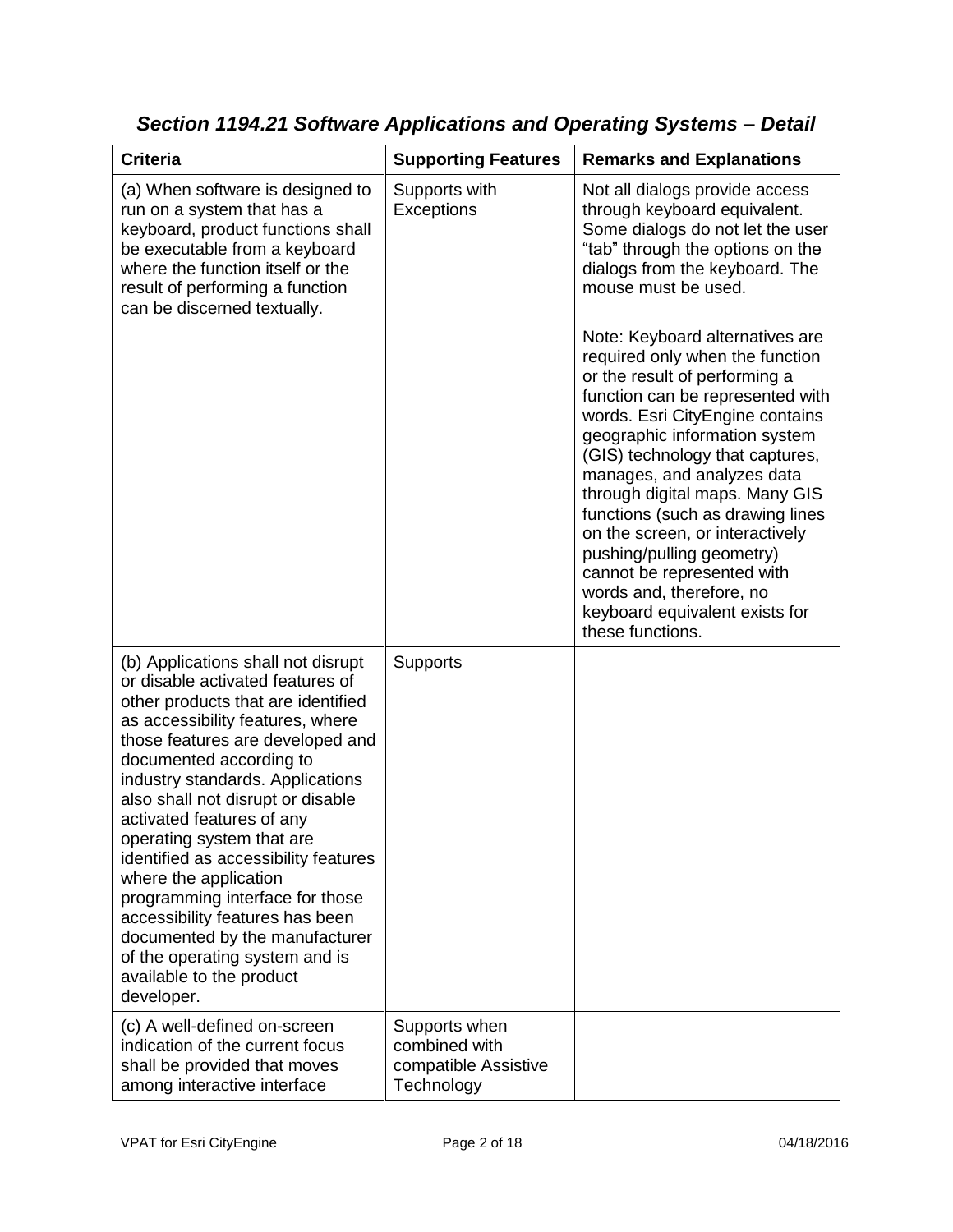| <b>Criteria</b>                                                                                                                                                                                                                                                                                                                                                                                                                                                                                                                                                                                         | <b>Supporting Features</b>                                           | <b>Remarks and Explanations</b>                                                                                                                                                                                                                                                                                                                                                                                                                                                                                                    |
|---------------------------------------------------------------------------------------------------------------------------------------------------------------------------------------------------------------------------------------------------------------------------------------------------------------------------------------------------------------------------------------------------------------------------------------------------------------------------------------------------------------------------------------------------------------------------------------------------------|----------------------------------------------------------------------|------------------------------------------------------------------------------------------------------------------------------------------------------------------------------------------------------------------------------------------------------------------------------------------------------------------------------------------------------------------------------------------------------------------------------------------------------------------------------------------------------------------------------------|
| (a) When software is designed to<br>run on a system that has a<br>keyboard, product functions shall<br>be executable from a keyboard<br>where the function itself or the<br>result of performing a function<br>can be discerned textually.                                                                                                                                                                                                                                                                                                                                                              | Supports with<br>Exceptions                                          | Not all dialogs provide access<br>through keyboard equivalent.<br>Some dialogs do not let the user<br>"tab" through the options on the<br>dialogs from the keyboard. The<br>mouse must be used.                                                                                                                                                                                                                                                                                                                                    |
|                                                                                                                                                                                                                                                                                                                                                                                                                                                                                                                                                                                                         |                                                                      | Note: Keyboard alternatives are<br>required only when the function<br>or the result of performing a<br>function can be represented with<br>words. Esri CityEngine contains<br>geographic information system<br>(GIS) technology that captures,<br>manages, and analyzes data<br>through digital maps. Many GIS<br>functions (such as drawing lines<br>on the screen, or interactively<br>pushing/pulling geometry)<br>cannot be represented with<br>words and, therefore, no<br>keyboard equivalent exists for<br>these functions. |
| (b) Applications shall not disrupt<br>or disable activated features of<br>other products that are identified<br>as accessibility features, where<br>those features are developed and<br>documented according to<br>industry standards. Applications<br>also shall not disrupt or disable<br>activated features of any<br>operating system that are<br>identified as accessibility features<br>where the application<br>programming interface for those<br>accessibility features has been<br>documented by the manufacturer<br>of the operating system and is<br>available to the product<br>developer. | <b>Supports</b>                                                      |                                                                                                                                                                                                                                                                                                                                                                                                                                                                                                                                    |
| (c) A well-defined on-screen<br>indication of the current focus<br>shall be provided that moves<br>among interactive interface                                                                                                                                                                                                                                                                                                                                                                                                                                                                          | Supports when<br>combined with<br>compatible Assistive<br>Technology |                                                                                                                                                                                                                                                                                                                                                                                                                                                                                                                                    |

*Section 1194.21 Software Applications and Operating Systems – Detail*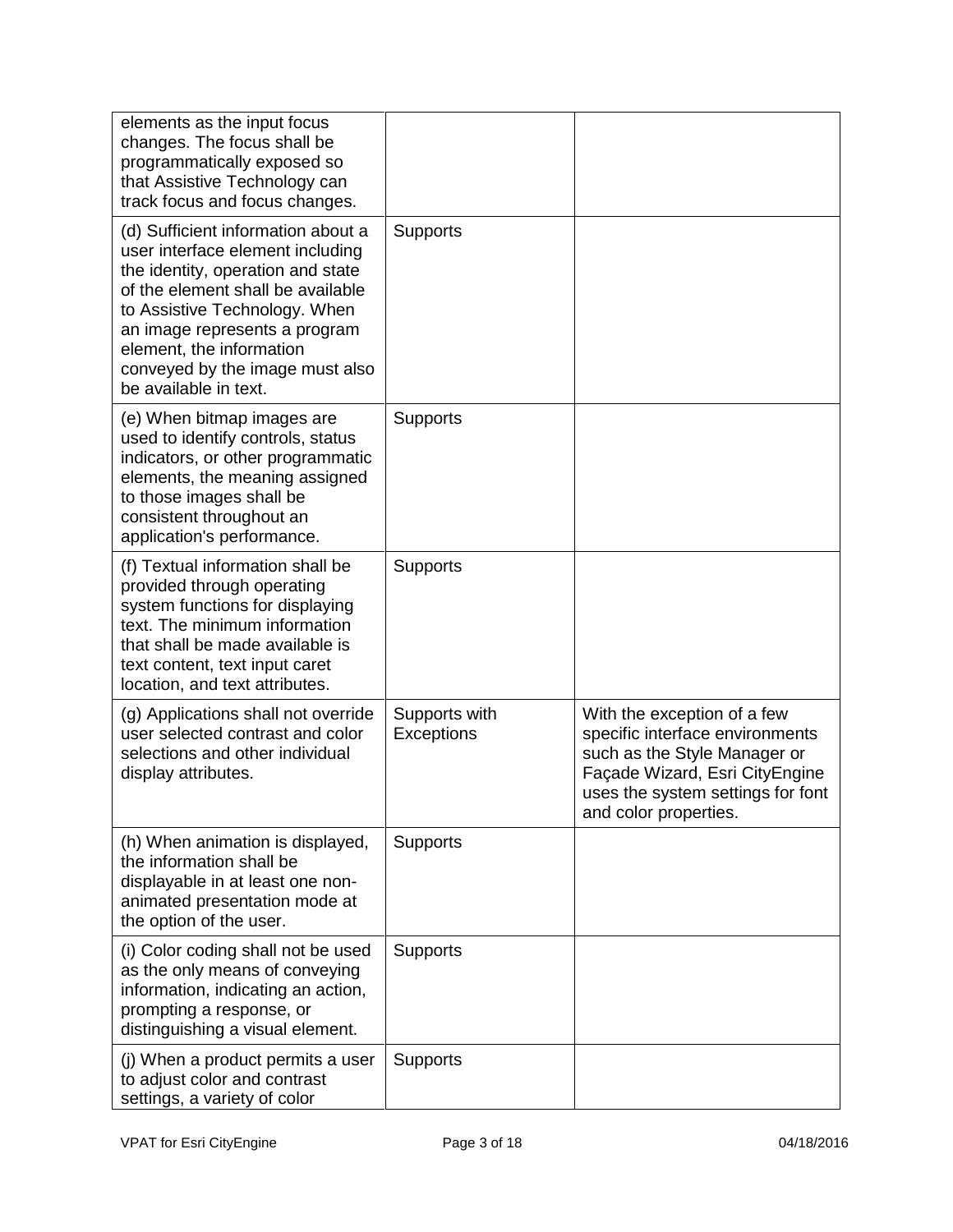| elements as the input focus<br>changes. The focus shall be<br>programmatically exposed so<br>that Assistive Technology can<br>track focus and focus changes.                                                                                                                                               |                             |                                                                                                                                                                                                |
|------------------------------------------------------------------------------------------------------------------------------------------------------------------------------------------------------------------------------------------------------------------------------------------------------------|-----------------------------|------------------------------------------------------------------------------------------------------------------------------------------------------------------------------------------------|
| (d) Sufficient information about a<br>user interface element including<br>the identity, operation and state<br>of the element shall be available<br>to Assistive Technology. When<br>an image represents a program<br>element, the information<br>conveyed by the image must also<br>be available in text. | Supports                    |                                                                                                                                                                                                |
| (e) When bitmap images are<br>used to identify controls, status<br>indicators, or other programmatic<br>elements, the meaning assigned<br>to those images shall be<br>consistent throughout an<br>application's performance.                                                                               | <b>Supports</b>             |                                                                                                                                                                                                |
| (f) Textual information shall be<br>provided through operating<br>system functions for displaying<br>text. The minimum information<br>that shall be made available is<br>text content, text input caret<br>location, and text attributes.                                                                  | <b>Supports</b>             |                                                                                                                                                                                                |
| (g) Applications shall not override<br>user selected contrast and color<br>selections and other individual<br>display attributes.                                                                                                                                                                          | Supports with<br>Exceptions | With the exception of a few<br>specific interface environments<br>such as the Style Manager or<br>Façade Wizard, Esri CityEngine<br>uses the system settings for font<br>and color properties. |
| (h) When animation is displayed,<br>the information shall be<br>displayable in at least one non-<br>animated presentation mode at<br>the option of the user.                                                                                                                                               | <b>Supports</b>             |                                                                                                                                                                                                |
| (i) Color coding shall not be used<br>as the only means of conveying<br>information, indicating an action,<br>prompting a response, or<br>distinguishing a visual element.                                                                                                                                 | Supports                    |                                                                                                                                                                                                |
| (j) When a product permits a user<br>to adjust color and contrast<br>settings, a variety of color                                                                                                                                                                                                          | Supports                    |                                                                                                                                                                                                |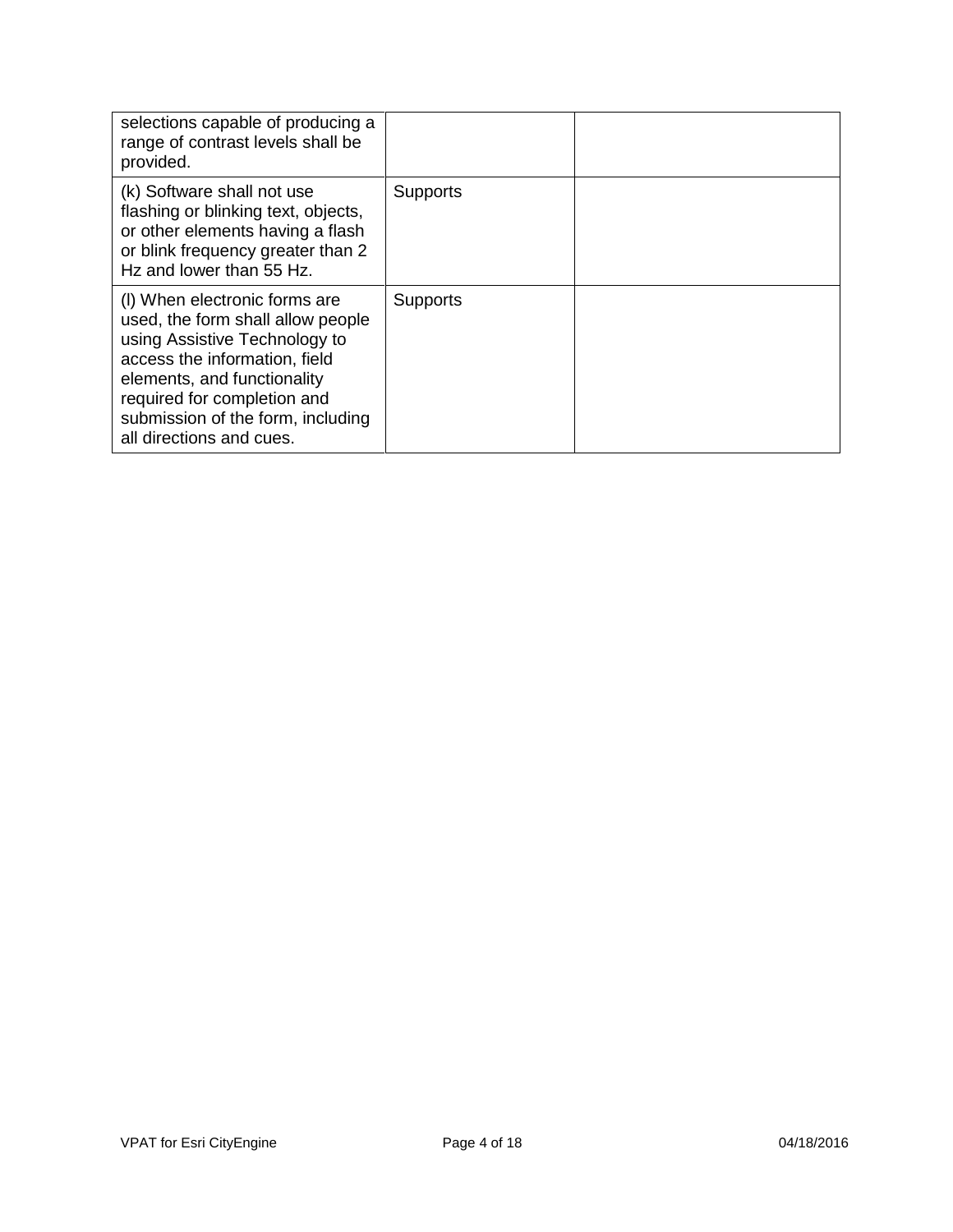| selections capable of producing a<br>range of contrast levels shall be<br>provided.                                                                                                                                                                                 |                 |  |
|---------------------------------------------------------------------------------------------------------------------------------------------------------------------------------------------------------------------------------------------------------------------|-----------------|--|
| (k) Software shall not use<br>flashing or blinking text, objects,<br>or other elements having a flash<br>or blink frequency greater than 2<br>Hz and lower than 55 Hz.                                                                                              | <b>Supports</b> |  |
| (I) When electronic forms are<br>used, the form shall allow people<br>using Assistive Technology to<br>access the information, field<br>elements, and functionality<br>required for completion and<br>submission of the form, including<br>all directions and cues. | <b>Supports</b> |  |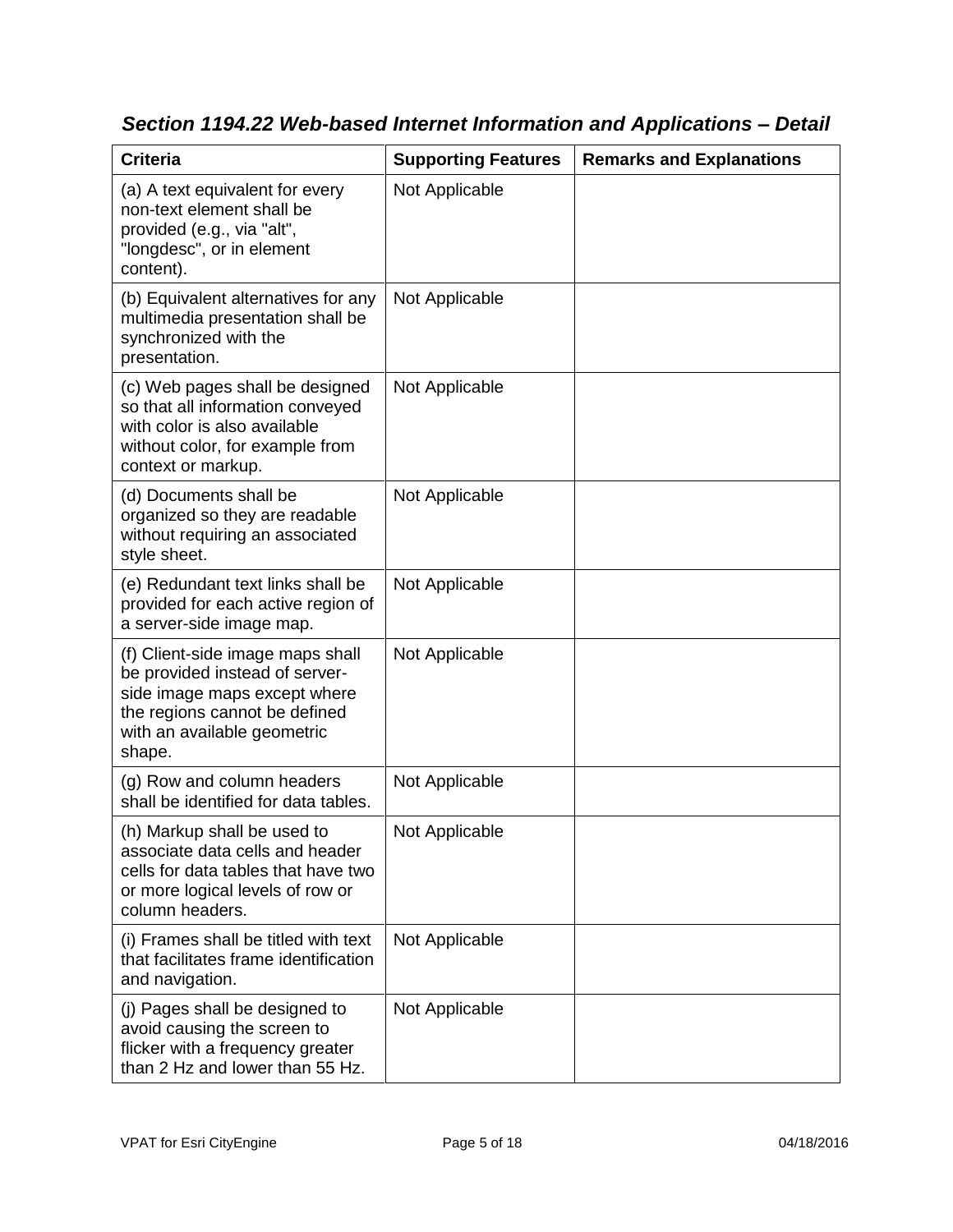| <b>Criteria</b>                                                                                                                                                              | <b>Supporting Features</b> | <b>Remarks and Explanations</b> |
|------------------------------------------------------------------------------------------------------------------------------------------------------------------------------|----------------------------|---------------------------------|
| (a) A text equivalent for every<br>non-text element shall be<br>provided (e.g., via "alt",<br>"longdesc", or in element<br>content).                                         | Not Applicable             |                                 |
| (b) Equivalent alternatives for any<br>multimedia presentation shall be<br>synchronized with the<br>presentation.                                                            | Not Applicable             |                                 |
| (c) Web pages shall be designed<br>so that all information conveyed<br>with color is also available<br>without color, for example from<br>context or markup.                 | Not Applicable             |                                 |
| (d) Documents shall be<br>organized so they are readable<br>without requiring an associated<br>style sheet.                                                                  | Not Applicable             |                                 |
| (e) Redundant text links shall be<br>provided for each active region of<br>a server-side image map.                                                                          | Not Applicable             |                                 |
| (f) Client-side image maps shall<br>be provided instead of server-<br>side image maps except where<br>the regions cannot be defined<br>with an available geometric<br>shape. | Not Applicable             |                                 |
| (g) Row and column headers<br>shall be identified for data tables.                                                                                                           | Not Applicable             |                                 |
| (h) Markup shall be used to<br>associate data cells and header<br>cells for data tables that have two<br>or more logical levels of row or<br>column headers.                 | Not Applicable             |                                 |
| (i) Frames shall be titled with text<br>that facilitates frame identification<br>and navigation.                                                                             | Not Applicable             |                                 |
| (j) Pages shall be designed to<br>avoid causing the screen to<br>flicker with a frequency greater<br>than 2 Hz and lower than 55 Hz.                                         | Not Applicable             |                                 |

*Section 1194.22 Web-based Internet Information and Applications – Detail*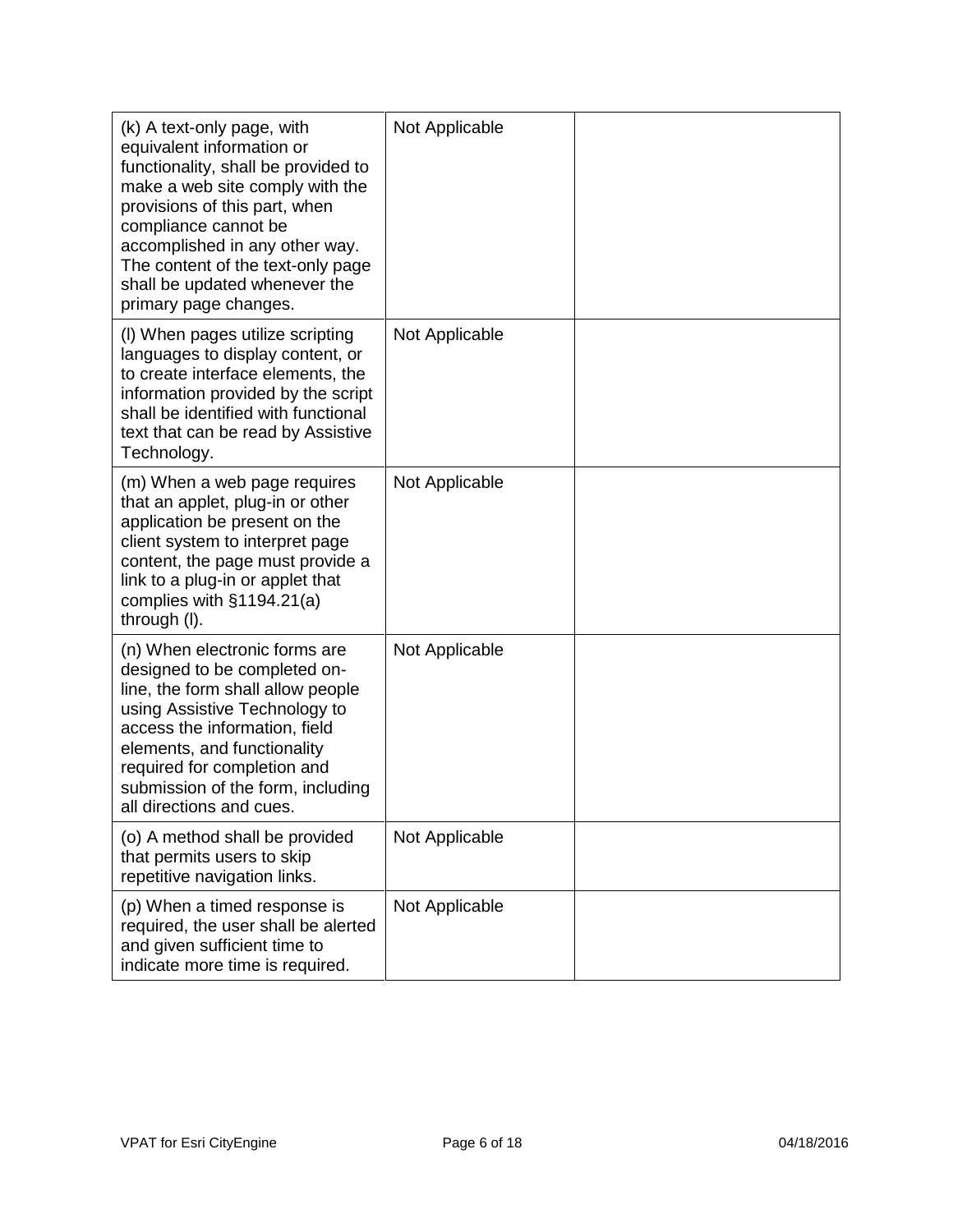| (k) A text-only page, with<br>equivalent information or<br>functionality, shall be provided to<br>make a web site comply with the<br>provisions of this part, when<br>compliance cannot be<br>accomplished in any other way.<br>The content of the text-only page<br>shall be updated whenever the<br>primary page changes. | Not Applicable |  |
|-----------------------------------------------------------------------------------------------------------------------------------------------------------------------------------------------------------------------------------------------------------------------------------------------------------------------------|----------------|--|
| (I) When pages utilize scripting<br>languages to display content, or<br>to create interface elements, the<br>information provided by the script<br>shall be identified with functional<br>text that can be read by Assistive<br>Technology.                                                                                 | Not Applicable |  |
| (m) When a web page requires<br>that an applet, plug-in or other<br>application be present on the<br>client system to interpret page<br>content, the page must provide a<br>link to a plug-in or applet that<br>complies with $§1194.21(a)$<br>through (I).                                                                 | Not Applicable |  |
| (n) When electronic forms are<br>designed to be completed on-<br>line, the form shall allow people<br>using Assistive Technology to<br>access the information, field<br>elements, and functionality<br>required for completion and<br>submission of the form, including<br>all directions and cues.                         | Not Applicable |  |
| (o) A method shall be provided<br>that permits users to skip<br>repetitive navigation links.                                                                                                                                                                                                                                | Not Applicable |  |
| (p) When a timed response is<br>required, the user shall be alerted<br>and given sufficient time to<br>indicate more time is required.                                                                                                                                                                                      | Not Applicable |  |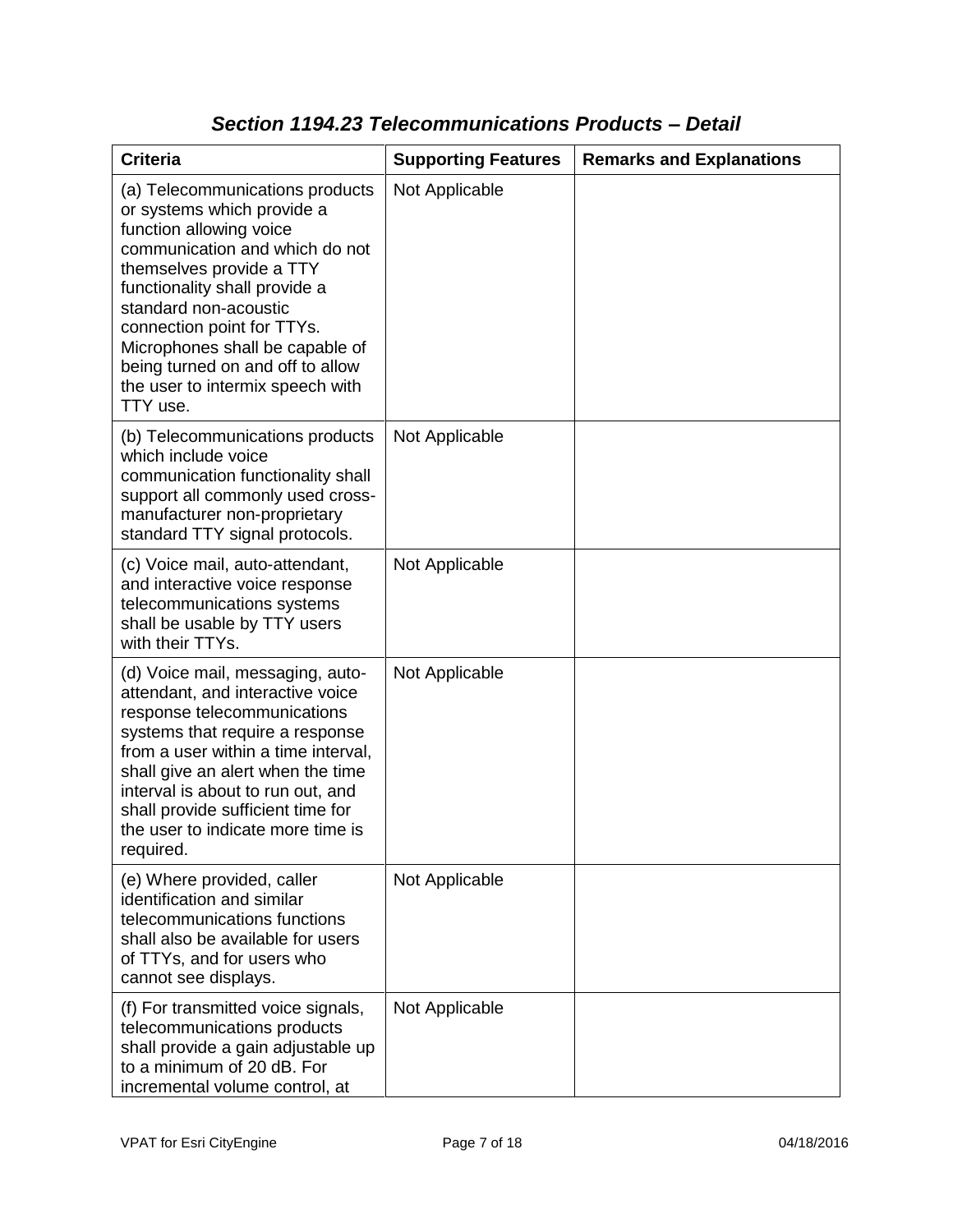| <b>Criteria</b>                                                                                                                                                                                                                                                                                                                                                       | <b>Supporting Features</b> | <b>Remarks and Explanations</b> |
|-----------------------------------------------------------------------------------------------------------------------------------------------------------------------------------------------------------------------------------------------------------------------------------------------------------------------------------------------------------------------|----------------------------|---------------------------------|
| (a) Telecommunications products<br>or systems which provide a<br>function allowing voice<br>communication and which do not<br>themselves provide a TTY<br>functionality shall provide a<br>standard non-acoustic<br>connection point for TTYs.<br>Microphones shall be capable of<br>being turned on and off to allow<br>the user to intermix speech with<br>TTY use. | Not Applicable             |                                 |
| (b) Telecommunications products<br>which include voice<br>communication functionality shall<br>support all commonly used cross-<br>manufacturer non-proprietary<br>standard TTY signal protocols.                                                                                                                                                                     | Not Applicable             |                                 |
| (c) Voice mail, auto-attendant,<br>and interactive voice response<br>telecommunications systems<br>shall be usable by TTY users<br>with their TTYs.                                                                                                                                                                                                                   | Not Applicable             |                                 |
| (d) Voice mail, messaging, auto-<br>attendant, and interactive voice<br>response telecommunications<br>systems that require a response<br>from a user within a time interval,<br>shall give an alert when the time<br>interval is about to run out, and<br>shall provide sufficient time for<br>the user to indicate more time is<br>required.                        | Not Applicable             |                                 |
| (e) Where provided, caller<br>identification and similar<br>telecommunications functions<br>shall also be available for users<br>of TTYs, and for users who<br>cannot see displays.                                                                                                                                                                                   | Not Applicable             |                                 |
| (f) For transmitted voice signals,<br>telecommunications products<br>shall provide a gain adjustable up<br>to a minimum of 20 dB. For<br>incremental volume control, at                                                                                                                                                                                               | Not Applicable             |                                 |

### *Section 1194.23 Telecommunications Products – Detail*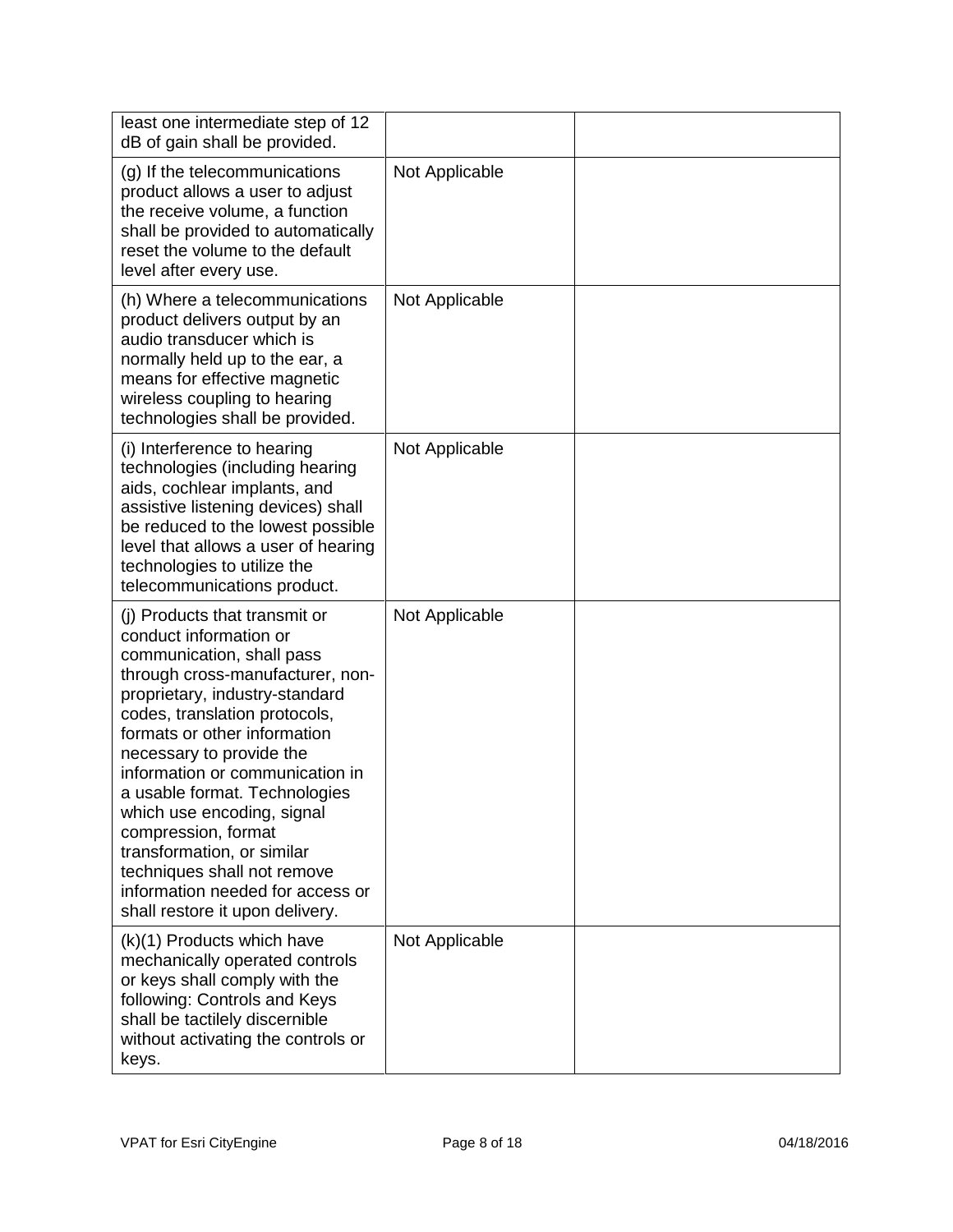| least one intermediate step of 12<br>dB of gain shall be provided.                                                                                                                                                                                                                                                                                                                                                                                                                                                   |                |  |
|----------------------------------------------------------------------------------------------------------------------------------------------------------------------------------------------------------------------------------------------------------------------------------------------------------------------------------------------------------------------------------------------------------------------------------------------------------------------------------------------------------------------|----------------|--|
| (g) If the telecommunications<br>product allows a user to adjust<br>the receive volume, a function<br>shall be provided to automatically<br>reset the volume to the default<br>level after every use.                                                                                                                                                                                                                                                                                                                | Not Applicable |  |
| (h) Where a telecommunications<br>product delivers output by an<br>audio transducer which is<br>normally held up to the ear, a<br>means for effective magnetic<br>wireless coupling to hearing<br>technologies shall be provided.                                                                                                                                                                                                                                                                                    | Not Applicable |  |
| (i) Interference to hearing<br>technologies (including hearing<br>aids, cochlear implants, and<br>assistive listening devices) shall<br>be reduced to the lowest possible<br>level that allows a user of hearing<br>technologies to utilize the<br>telecommunications product.                                                                                                                                                                                                                                       | Not Applicable |  |
| (i) Products that transmit or<br>conduct information or<br>communication, shall pass<br>through cross-manufacturer, non-<br>proprietary, industry-standard<br>codes, translation protocols,<br>formats or other information<br>necessary to provide the<br>information or communication in<br>a usable format. Technologies<br>which use encoding, signal<br>compression, format<br>transformation, or similar<br>techniques shall not remove<br>information needed for access or<br>shall restore it upon delivery. | Not Applicable |  |
| (k)(1) Products which have<br>mechanically operated controls<br>or keys shall comply with the<br>following: Controls and Keys<br>shall be tactilely discernible<br>without activating the controls or<br>keys.                                                                                                                                                                                                                                                                                                       | Not Applicable |  |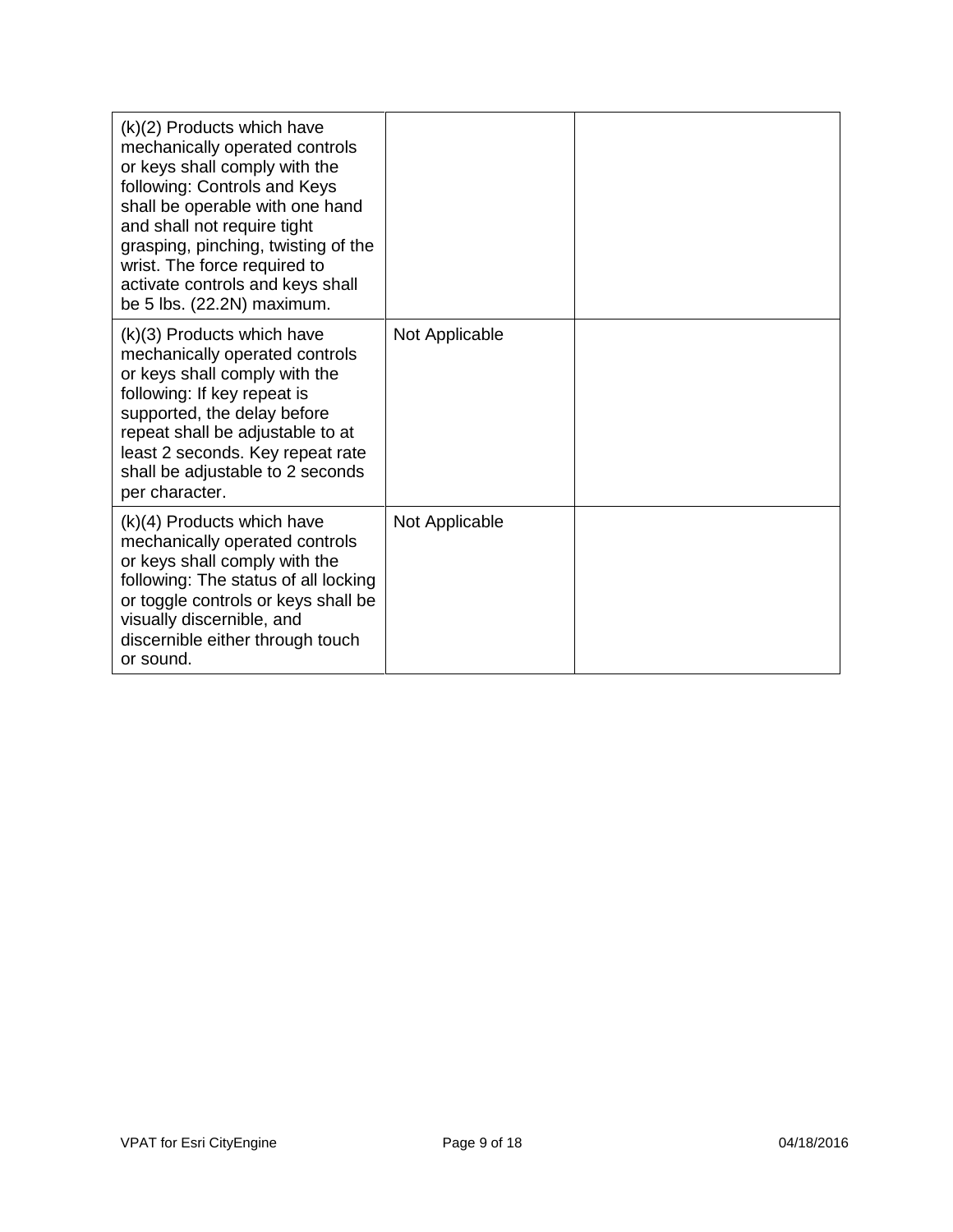| (k)(2) Products which have<br>mechanically operated controls<br>or keys shall comply with the<br>following: Controls and Keys<br>shall be operable with one hand<br>and shall not require tight<br>grasping, pinching, twisting of the<br>wrist. The force required to<br>activate controls and keys shall<br>be 5 lbs. (22.2N) maximum. |                |  |
|------------------------------------------------------------------------------------------------------------------------------------------------------------------------------------------------------------------------------------------------------------------------------------------------------------------------------------------|----------------|--|
| (k)(3) Products which have<br>mechanically operated controls<br>or keys shall comply with the<br>following: If key repeat is<br>supported, the delay before<br>repeat shall be adjustable to at<br>least 2 seconds. Key repeat rate<br>shall be adjustable to 2 seconds<br>per character.                                                | Not Applicable |  |
| $(k)(4)$ Products which have<br>mechanically operated controls<br>or keys shall comply with the<br>following: The status of all locking<br>or toggle controls or keys shall be<br>visually discernible, and<br>discernible either through touch<br>or sound.                                                                             | Not Applicable |  |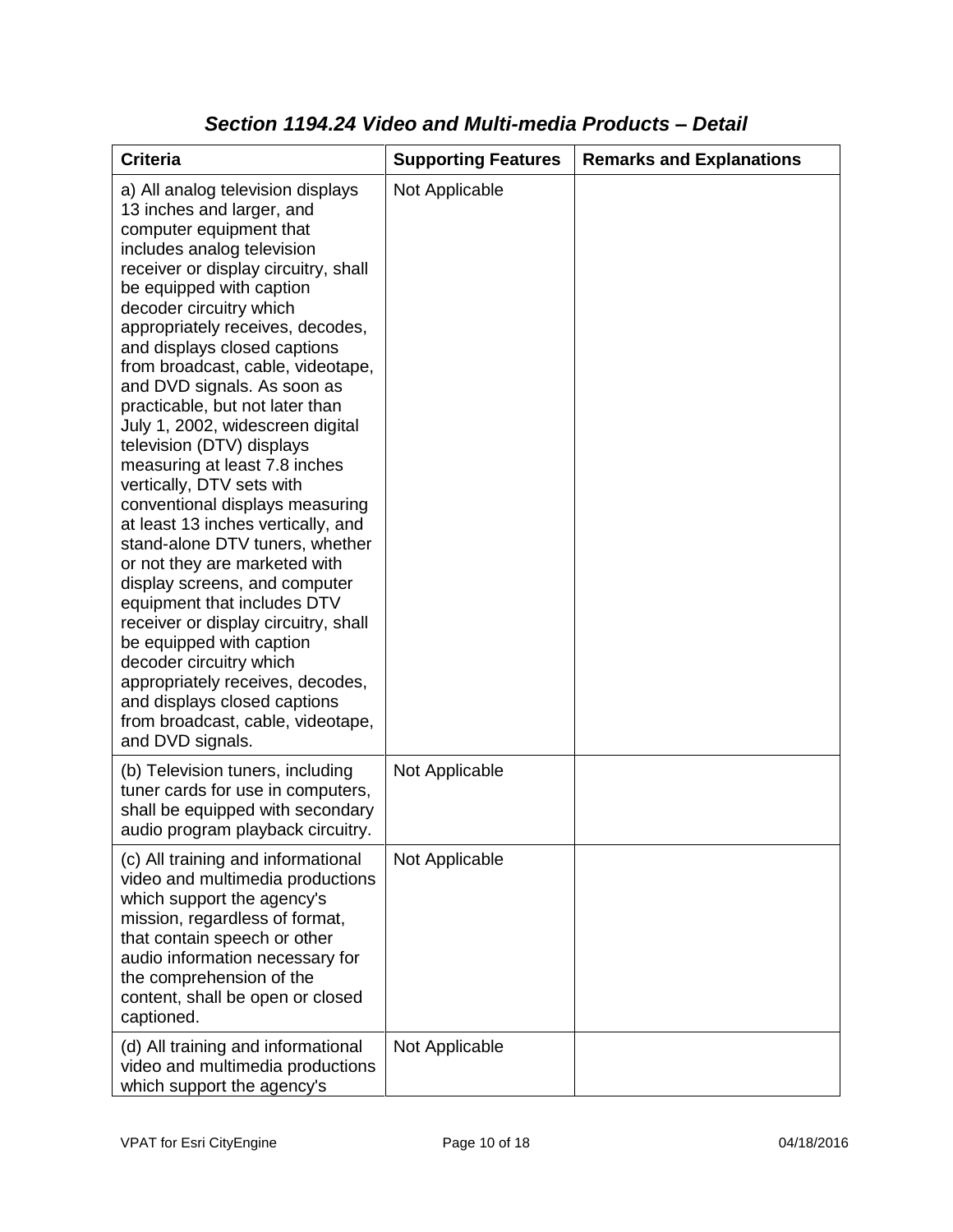| <b>Criteria</b>                                                                                                                                                                                                                                                                                                                                                                                                                                                                                                                                                                                                                                                                                                                                                                                                                                                                                                                                                           | <b>Supporting Features</b> | <b>Remarks and Explanations</b> |
|---------------------------------------------------------------------------------------------------------------------------------------------------------------------------------------------------------------------------------------------------------------------------------------------------------------------------------------------------------------------------------------------------------------------------------------------------------------------------------------------------------------------------------------------------------------------------------------------------------------------------------------------------------------------------------------------------------------------------------------------------------------------------------------------------------------------------------------------------------------------------------------------------------------------------------------------------------------------------|----------------------------|---------------------------------|
| a) All analog television displays<br>13 inches and larger, and<br>computer equipment that<br>includes analog television<br>receiver or display circuitry, shall<br>be equipped with caption<br>decoder circuitry which<br>appropriately receives, decodes,<br>and displays closed captions<br>from broadcast, cable, videotape,<br>and DVD signals. As soon as<br>practicable, but not later than<br>July 1, 2002, widescreen digital<br>television (DTV) displays<br>measuring at least 7.8 inches<br>vertically, DTV sets with<br>conventional displays measuring<br>at least 13 inches vertically, and<br>stand-alone DTV tuners, whether<br>or not they are marketed with<br>display screens, and computer<br>equipment that includes DTV<br>receiver or display circuitry, shall<br>be equipped with caption<br>decoder circuitry which<br>appropriately receives, decodes,<br>and displays closed captions<br>from broadcast, cable, videotape,<br>and DVD signals. | Not Applicable             |                                 |
| (b) Television tuners, including<br>tuner cards for use in computers,<br>shall be equipped with secondary<br>audio program playback circuitry.                                                                                                                                                                                                                                                                                                                                                                                                                                                                                                                                                                                                                                                                                                                                                                                                                            | Not Applicable             |                                 |
| (c) All training and informational<br>video and multimedia productions<br>which support the agency's<br>mission, regardless of format,<br>that contain speech or other<br>audio information necessary for<br>the comprehension of the<br>content, shall be open or closed<br>captioned.                                                                                                                                                                                                                                                                                                                                                                                                                                                                                                                                                                                                                                                                                   | Not Applicable             |                                 |
| (d) All training and informational<br>video and multimedia productions<br>which support the agency's                                                                                                                                                                                                                                                                                                                                                                                                                                                                                                                                                                                                                                                                                                                                                                                                                                                                      | Not Applicable             |                                 |

#### *Section 1194.24 Video and Multi-media Products – Detail*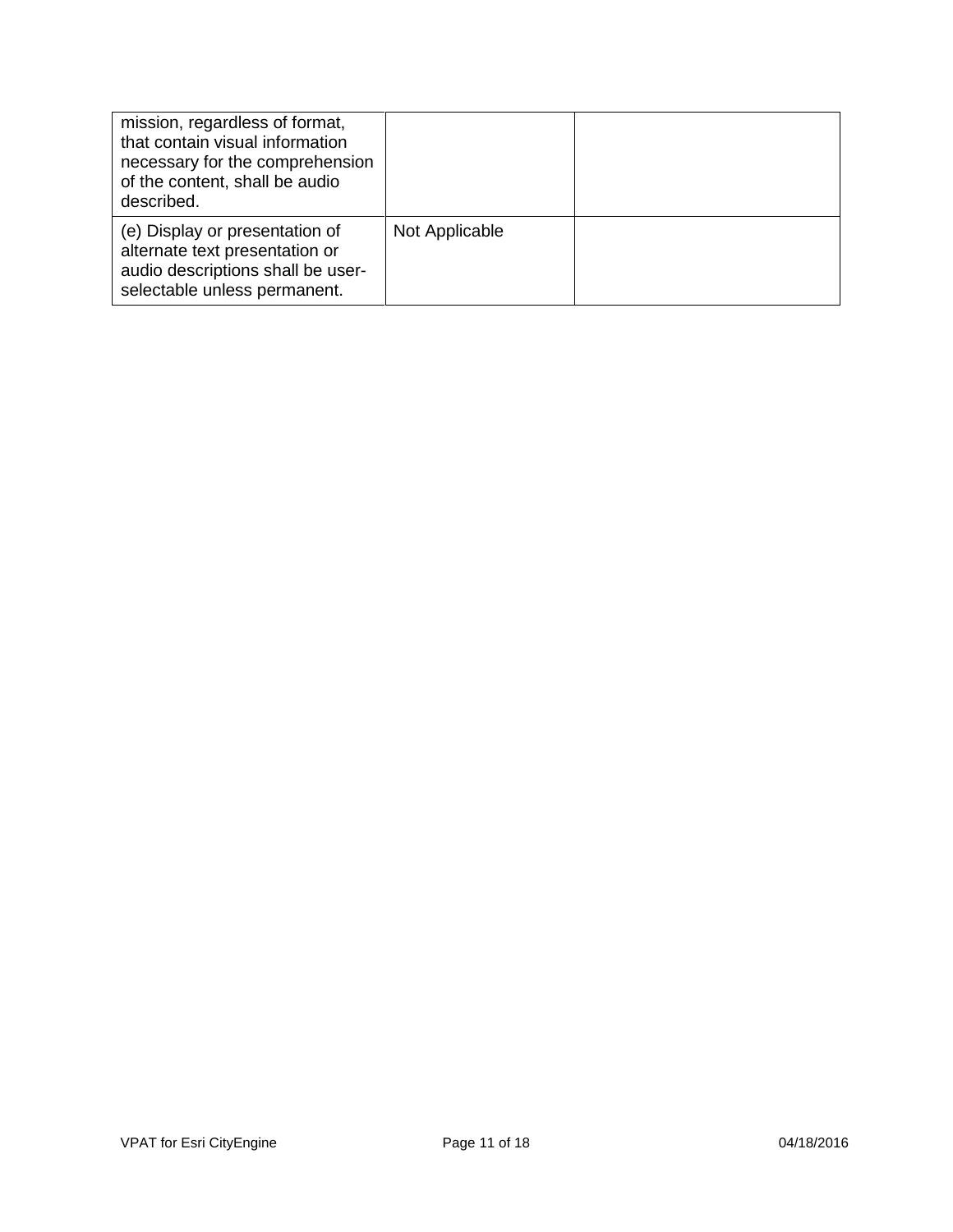| mission, regardless of format,<br>that contain visual information<br>necessary for the comprehension<br>of the content, shall be audio<br>described. |                |  |
|------------------------------------------------------------------------------------------------------------------------------------------------------|----------------|--|
| (e) Display or presentation of<br>alternate text presentation or<br>audio descriptions shall be user-<br>selectable unless permanent.                | Not Applicable |  |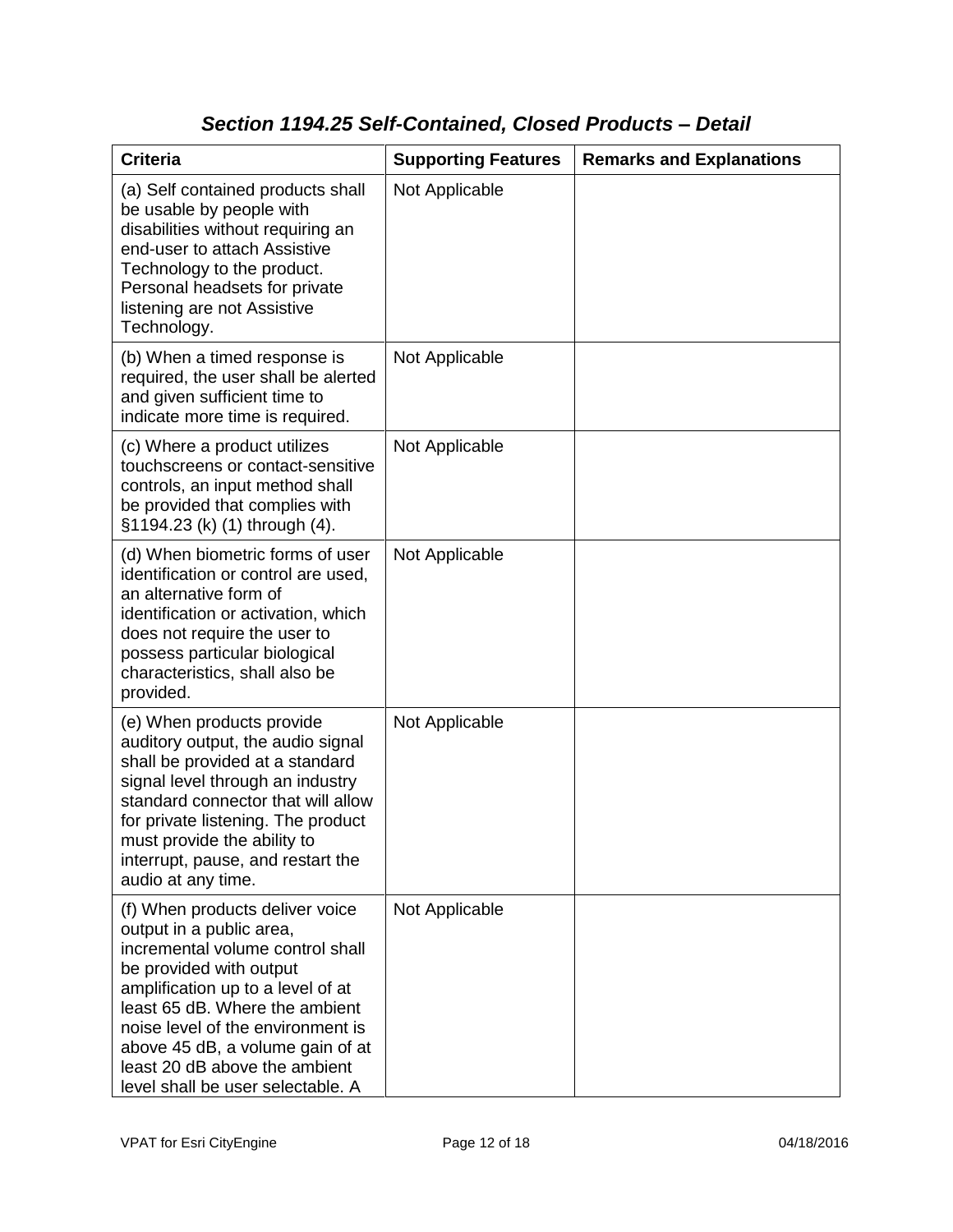### *Section 1194.25 Self-Contained, Closed Products – Detail*

| <b>Criteria</b>                                                                                                                                                                                                                                                                                                                                  | <b>Supporting Features</b> | <b>Remarks and Explanations</b> |
|--------------------------------------------------------------------------------------------------------------------------------------------------------------------------------------------------------------------------------------------------------------------------------------------------------------------------------------------------|----------------------------|---------------------------------|
| (a) Self contained products shall<br>be usable by people with<br>disabilities without requiring an<br>end-user to attach Assistive<br>Technology to the product.<br>Personal headsets for private<br>listening are not Assistive<br>Technology.                                                                                                  | Not Applicable             |                                 |
| (b) When a timed response is<br>required, the user shall be alerted<br>and given sufficient time to<br>indicate more time is required.                                                                                                                                                                                                           | Not Applicable             |                                 |
| (c) Where a product utilizes<br>touchscreens or contact-sensitive<br>controls, an input method shall<br>be provided that complies with<br>§1194.23 (k) (1) through (4).                                                                                                                                                                          | Not Applicable             |                                 |
| (d) When biometric forms of user<br>identification or control are used,<br>an alternative form of<br>identification or activation, which<br>does not require the user to<br>possess particular biological<br>characteristics, shall also be<br>provided.                                                                                         | Not Applicable             |                                 |
| (e) When products provide<br>auditory output, the audio signal<br>shall be provided at a standard<br>signal level through an industry<br>standard connector that will allow<br>for private listening. The product<br>must provide the ability to<br>interrupt, pause, and restart the<br>audio at any time.                                      | Not Applicable             |                                 |
| (f) When products deliver voice<br>output in a public area,<br>incremental volume control shall<br>be provided with output<br>amplification up to a level of at<br>least 65 dB. Where the ambient<br>noise level of the environment is<br>above 45 dB, a volume gain of at<br>least 20 dB above the ambient<br>level shall be user selectable. A | Not Applicable             |                                 |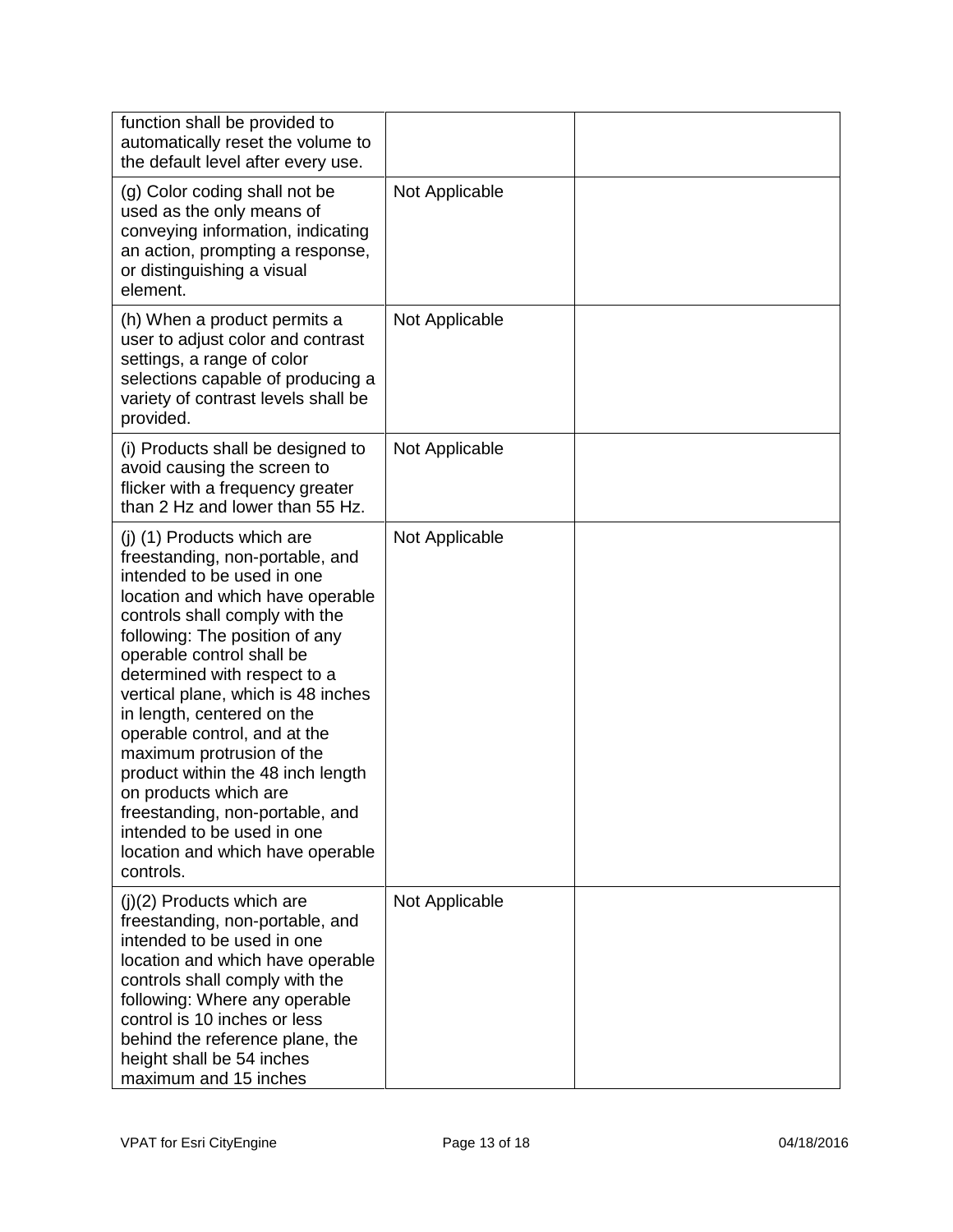| function shall be provided to<br>automatically reset the volume to<br>the default level after every use.                                                                                                                                                                                                                                                                                                                                                                                                                                                                          |                |  |
|-----------------------------------------------------------------------------------------------------------------------------------------------------------------------------------------------------------------------------------------------------------------------------------------------------------------------------------------------------------------------------------------------------------------------------------------------------------------------------------------------------------------------------------------------------------------------------------|----------------|--|
| (g) Color coding shall not be<br>used as the only means of<br>conveying information, indicating<br>an action, prompting a response,<br>or distinguishing a visual<br>element.                                                                                                                                                                                                                                                                                                                                                                                                     | Not Applicable |  |
| (h) When a product permits a<br>user to adjust color and contrast<br>settings, a range of color<br>selections capable of producing a<br>variety of contrast levels shall be<br>provided.                                                                                                                                                                                                                                                                                                                                                                                          | Not Applicable |  |
| (i) Products shall be designed to<br>avoid causing the screen to<br>flicker with a frequency greater<br>than 2 Hz and lower than 55 Hz.                                                                                                                                                                                                                                                                                                                                                                                                                                           | Not Applicable |  |
| (j) (1) Products which are<br>freestanding, non-portable, and<br>intended to be used in one<br>location and which have operable<br>controls shall comply with the<br>following: The position of any<br>operable control shall be<br>determined with respect to a<br>vertical plane, which is 48 inches<br>in length, centered on the<br>operable control, and at the<br>maximum protrusion of the<br>product within the 48 inch length<br>on products which are<br>freestanding, non-portable, and<br>intended to be used in one<br>location and which have operable<br>controls. | Not Applicable |  |
| (j)(2) Products which are<br>freestanding, non-portable, and<br>intended to be used in one<br>location and which have operable<br>controls shall comply with the<br>following: Where any operable<br>control is 10 inches or less<br>behind the reference plane, the<br>height shall be 54 inches<br>maximum and 15 inches                                                                                                                                                                                                                                                        | Not Applicable |  |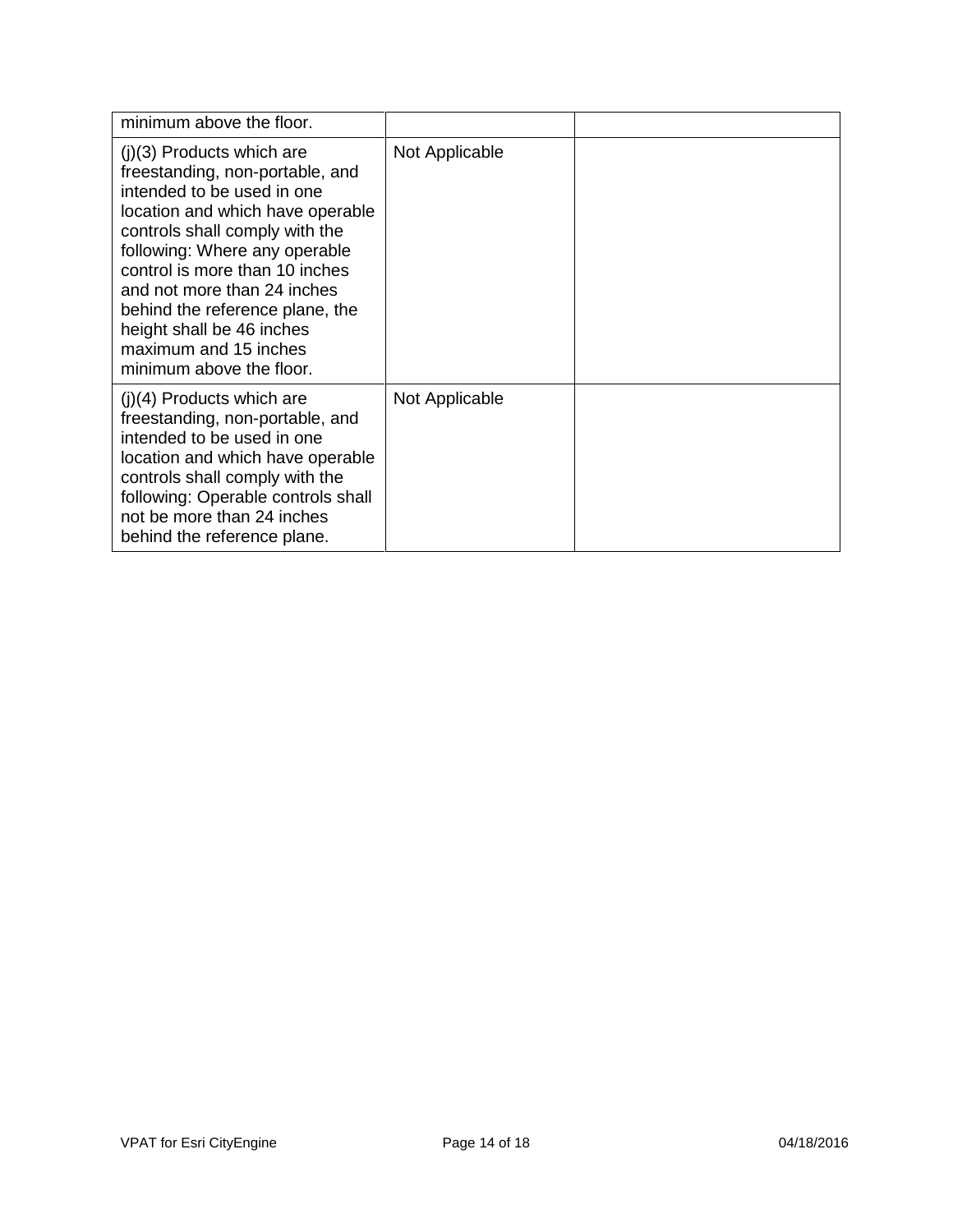| minimum above the floor.                                                                                                                                                                                                                                                                                                                                                                  |                |  |
|-------------------------------------------------------------------------------------------------------------------------------------------------------------------------------------------------------------------------------------------------------------------------------------------------------------------------------------------------------------------------------------------|----------------|--|
| $(i)(3)$ Products which are<br>freestanding, non-portable, and<br>intended to be used in one<br>location and which have operable<br>controls shall comply with the<br>following: Where any operable<br>control is more than 10 inches<br>and not more than 24 inches<br>behind the reference plane, the<br>height shall be 46 inches<br>maximum and 15 inches<br>minimum above the floor. | Not Applicable |  |
| $(j)(4)$ Products which are<br>freestanding, non-portable, and<br>intended to be used in one<br>location and which have operable<br>controls shall comply with the<br>following: Operable controls shall<br>not be more than 24 inches<br>behind the reference plane.                                                                                                                     | Not Applicable |  |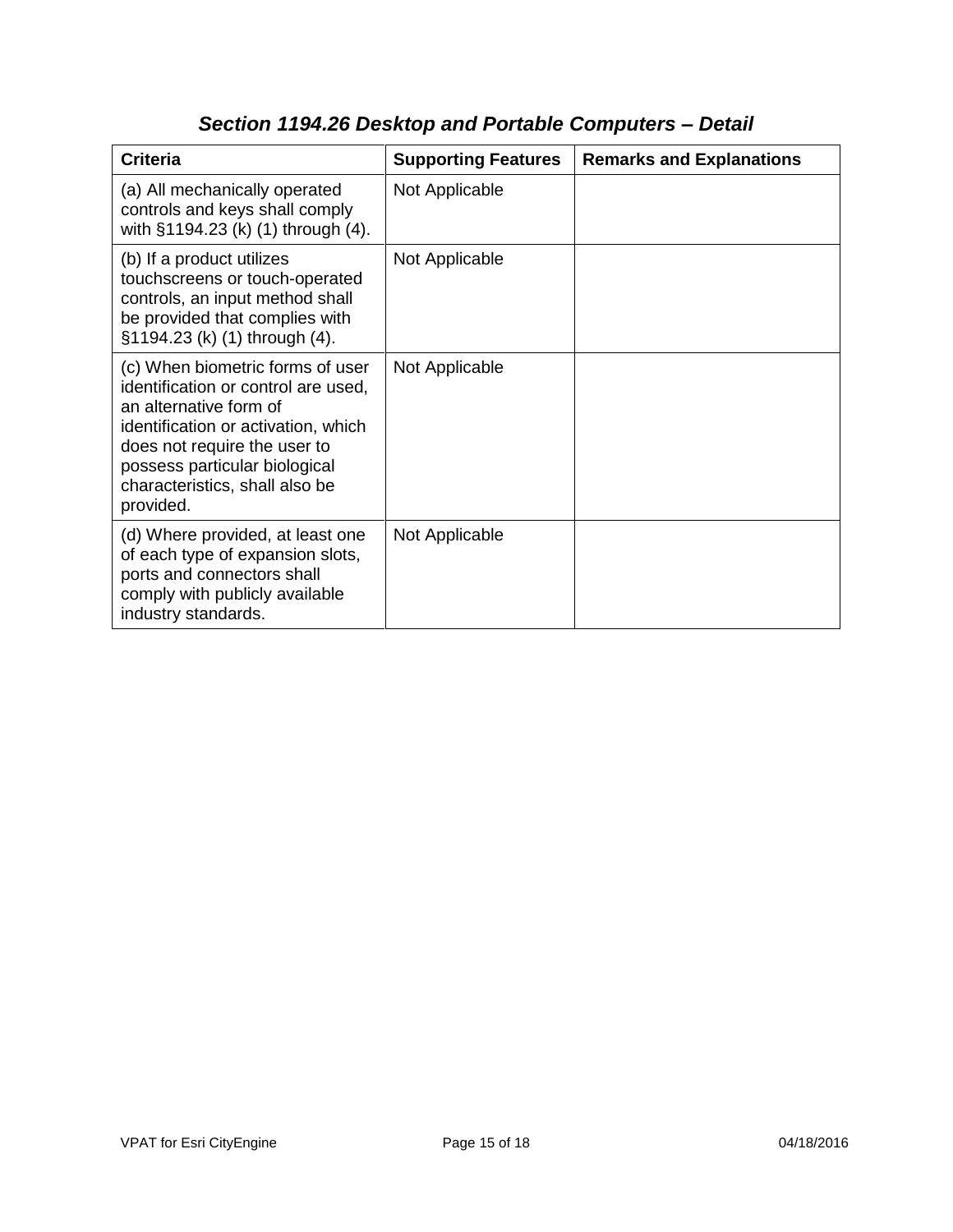| <b>Criteria</b>                                                                                                                                                                                                                                          | <b>Supporting Features</b> | <b>Remarks and Explanations</b> |
|----------------------------------------------------------------------------------------------------------------------------------------------------------------------------------------------------------------------------------------------------------|----------------------------|---------------------------------|
| (a) All mechanically operated<br>controls and keys shall comply<br>with §1194.23 (k) (1) through (4).                                                                                                                                                    | Not Applicable             |                                 |
| (b) If a product utilizes<br>touchscreens or touch-operated<br>controls, an input method shall<br>be provided that complies with<br>§1194.23 (k) (1) through (4).                                                                                        | Not Applicable             |                                 |
| (c) When biometric forms of user<br>identification or control are used,<br>an alternative form of<br>identification or activation, which<br>does not require the user to<br>possess particular biological<br>characteristics, shall also be<br>provided. | Not Applicable             |                                 |
| (d) Where provided, at least one<br>of each type of expansion slots,<br>ports and connectors shall<br>comply with publicly available<br>industry standards.                                                                                              | Not Applicable             |                                 |

# *Section 1194.26 Desktop and Portable Computers – Detail*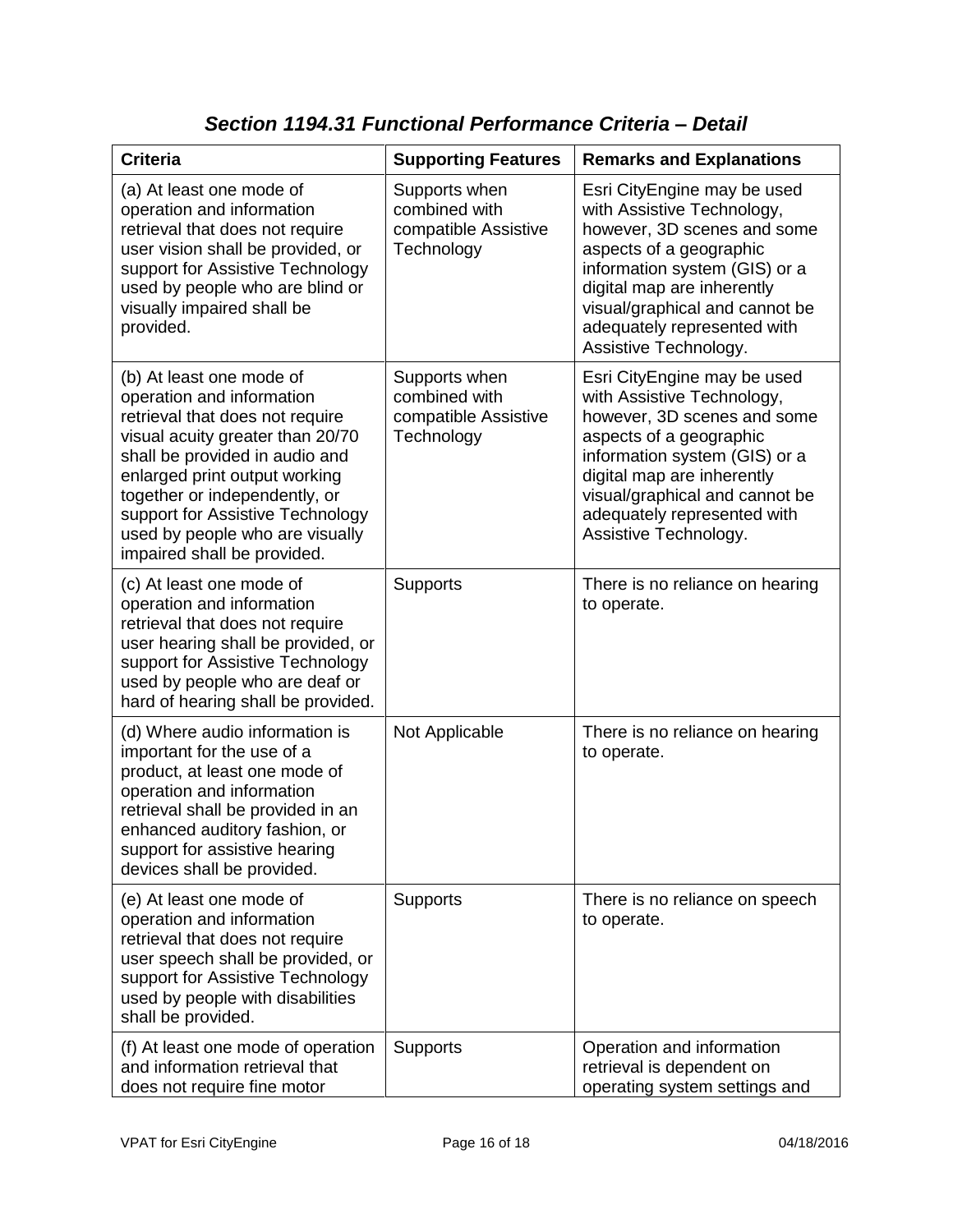| <b>Criteria</b>                                                                                                                                                                                                                                                                                                                        | <b>Supporting Features</b>                                           | <b>Remarks and Explanations</b>                                                                                                                                                                                                                                              |
|----------------------------------------------------------------------------------------------------------------------------------------------------------------------------------------------------------------------------------------------------------------------------------------------------------------------------------------|----------------------------------------------------------------------|------------------------------------------------------------------------------------------------------------------------------------------------------------------------------------------------------------------------------------------------------------------------------|
| (a) At least one mode of<br>operation and information<br>retrieval that does not require<br>user vision shall be provided, or<br>support for Assistive Technology<br>used by people who are blind or<br>visually impaired shall be<br>provided.                                                                                        | Supports when<br>combined with<br>compatible Assistive<br>Technology | Esri CityEngine may be used<br>with Assistive Technology,<br>however, 3D scenes and some<br>aspects of a geographic<br>information system (GIS) or a<br>digital map are inherently<br>visual/graphical and cannot be<br>adequately represented with<br>Assistive Technology. |
| (b) At least one mode of<br>operation and information<br>retrieval that does not require<br>visual acuity greater than 20/70<br>shall be provided in audio and<br>enlarged print output working<br>together or independently, or<br>support for Assistive Technology<br>used by people who are visually<br>impaired shall be provided. | Supports when<br>combined with<br>compatible Assistive<br>Technology | Esri CityEngine may be used<br>with Assistive Technology,<br>however, 3D scenes and some<br>aspects of a geographic<br>information system (GIS) or a<br>digital map are inherently<br>visual/graphical and cannot be<br>adequately represented with<br>Assistive Technology. |
| (c) At least one mode of<br>operation and information<br>retrieval that does not require<br>user hearing shall be provided, or<br>support for Assistive Technology<br>used by people who are deaf or<br>hard of hearing shall be provided.                                                                                             | <b>Supports</b>                                                      | There is no reliance on hearing<br>to operate.                                                                                                                                                                                                                               |
| (d) Where audio information is<br>important for the use of a<br>product, at least one mode of<br>operation and information<br>retrieval shall be provided in an<br>enhanced auditory fashion, or<br>support for assistive hearing<br>devices shall be provided.                                                                        | Not Applicable                                                       | There is no reliance on hearing<br>to operate.                                                                                                                                                                                                                               |
| (e) At least one mode of<br>operation and information<br>retrieval that does not require<br>user speech shall be provided, or<br>support for Assistive Technology<br>used by people with disabilities<br>shall be provided.                                                                                                            | Supports                                                             | There is no reliance on speech<br>to operate.                                                                                                                                                                                                                                |
| (f) At least one mode of operation<br>and information retrieval that<br>does not require fine motor                                                                                                                                                                                                                                    | <b>Supports</b>                                                      | Operation and information<br>retrieval is dependent on<br>operating system settings and                                                                                                                                                                                      |

*Section 1194.31 Functional Performance Criteria – Detail*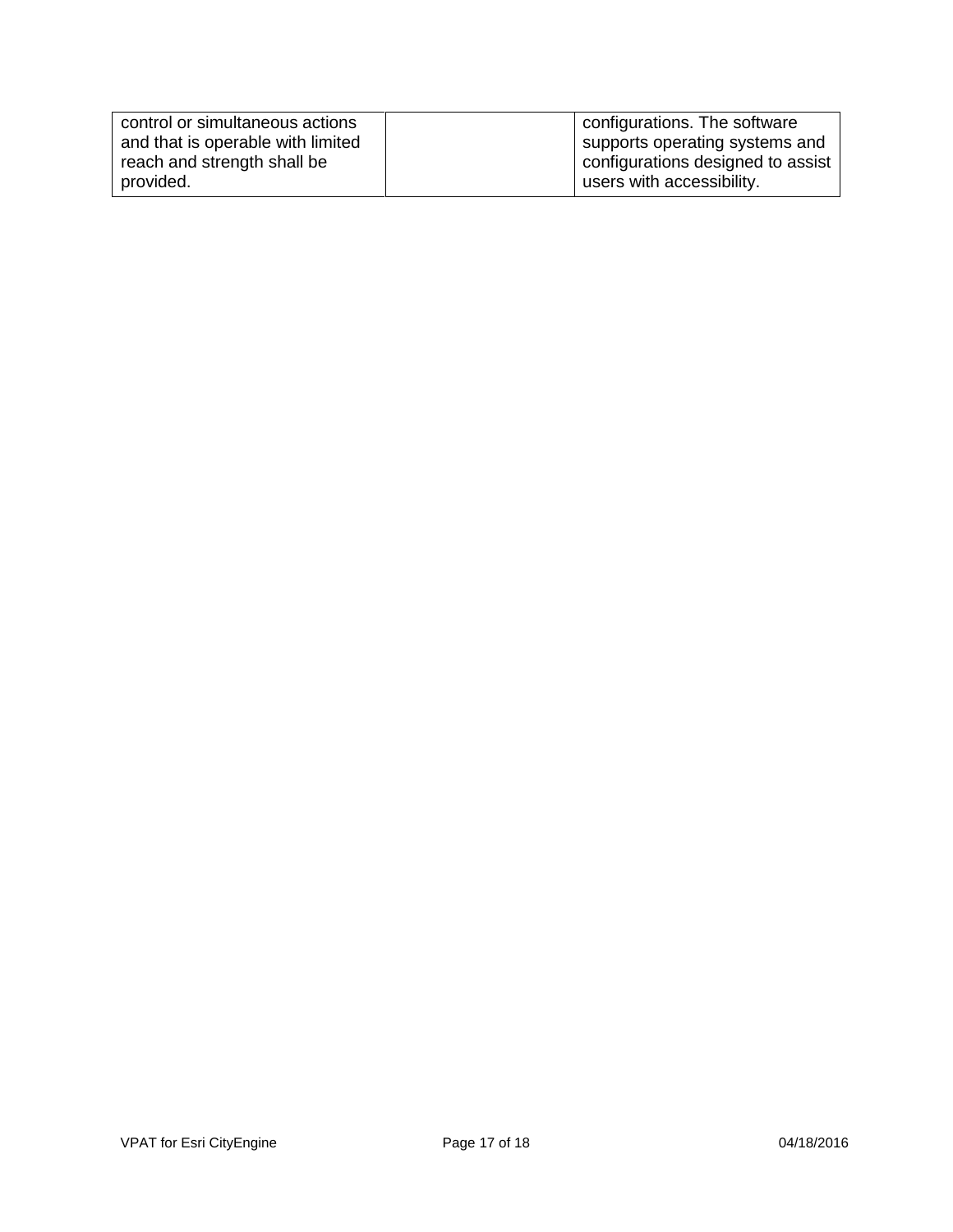| control or simultaneous actions   | configurations. The software      |
|-----------------------------------|-----------------------------------|
| and that is operable with limited | supports operating systems and    |
| reach and strength shall be       | configurations designed to assist |
| provided.                         | users with accessibility.         |